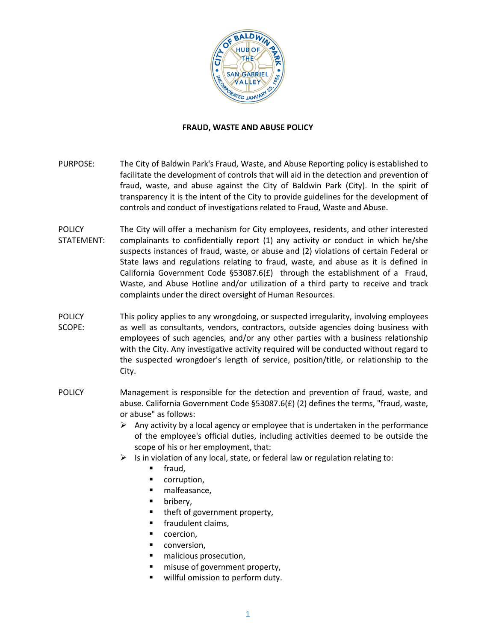

### **FRAUD, WASTE AND ABUSE POLICY**

- PURPOSE: The City of Baldwin Park's Fraud, Waste, and Abuse Reporting policy is established to facilitate the development of controls that will aid in the detection and prevention of fraud, waste, and abuse against the City of Baldwin Park (City). In the spirit of transparency it is the intent of the City to provide guidelines for the development of controls and conduct of investigations related to Fraud, Waste and Abuse.
- **POLICY** STATEMENT: The City will offer a mechanism for City employees, residents, and other interested complainants to confidentially report (1) any activity or conduct in which he/she suspects instances of fraud, waste, or abuse and (2) violations of certain Federal or State laws and regulations relating to fraud, waste, and abuse as it is defined in California Government Code §53087.6(£) through the establishment of a Fraud, Waste, and Abuse Hotline and/or utilization of a third party to receive and track complaints under the direct oversight of Human Resources.
- POLICY SCOPE: This policy applies to any wrongdoing, or suspected irregularity, involving employees as well as consultants, vendors, contractors, outside agencies doing business with employees of such agencies, and/or any other parties with a business relationship with the City. Any investigative activity required will be conducted without regard to the suspected wrongdoer's length of service, position/title, or relationship to the City.
- POLICY Management is responsible for the detection and prevention of fraud, waste, and abuse. California Government Code §53087.6(£) (2) defines the terms, "fraud, waste, or abuse" as follows:
	- $\triangleright$  Any activity by a local agency or employee that is undertaken in the performance of the employee's official duties, including activities deemed to be outside the scope of his or her employment, that:
	- $\triangleright$  Is in violation of any local, state, or federal law or regulation relating to:
		- fraud,
		- corruption,
		- malfeasance,
		- bribery,
		- theft of government property,
		- fraudulent claims,
		- coercion,
		- conversion,
		- malicious prosecution,
		- misuse of government property,
		- willful omission to perform duty.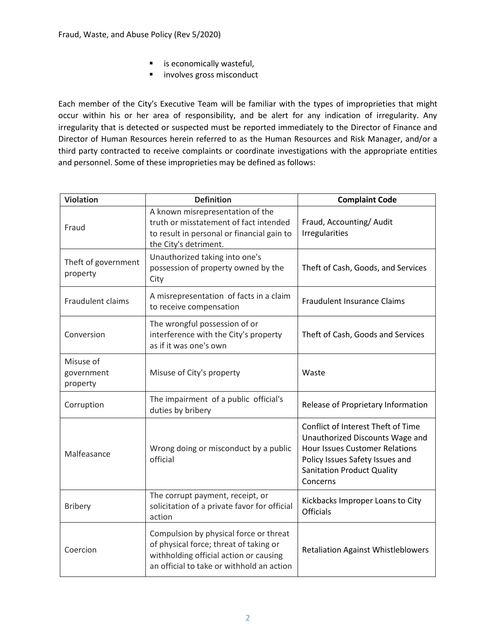- **E** is economically wasteful,
- **Involves gross misconduct**

Each member of the City's Executive Team will be familiar with the types of improprieties that might occur within his or her area of responsibility, and be alert for any indication of irregularity. Any irregularity that is detected or suspected must be reported immediately to the Director of Finance and Director of Human Resources herein referred to as the Human Resources and Risk Manager, and/or a third party contracted to receive complaints or coordinate investigations with the appropriate entities and personnel. Some of these improprieties may be defined as follows:

| <b>Violation</b>                    | <b>Definition</b>                                                                                                                                                       | <b>Complaint Code</b>                                                                                                                                                                              |  |
|-------------------------------------|-------------------------------------------------------------------------------------------------------------------------------------------------------------------------|----------------------------------------------------------------------------------------------------------------------------------------------------------------------------------------------------|--|
| Fraud                               | A known misrepresentation of the<br>truth or misstatement of fact intended<br>to result in personal or financial gain to<br>the City's detriment.                       | Fraud, Accounting/Audit<br><b>Irregularities</b>                                                                                                                                                   |  |
| Theft of government<br>property     | Unauthorized taking into one's<br>possession of property owned by the<br>City                                                                                           | Theft of Cash, Goods, and Services                                                                                                                                                                 |  |
| Fraudulent claims                   | A misrepresentation of facts in a claim<br>to receive compensation                                                                                                      | <b>Fraudulent Insurance Claims</b>                                                                                                                                                                 |  |
| Conversion                          | The wrongful possession of or<br>interference with the City's property<br>as if it was one's own                                                                        | Theft of Cash, Goods and Services                                                                                                                                                                  |  |
| Misuse of<br>government<br>property | Misuse of City's property                                                                                                                                               | Waste                                                                                                                                                                                              |  |
| Corruption                          | The impairment of a public official's<br>duties by bribery                                                                                                              | Release of Proprietary Information                                                                                                                                                                 |  |
| Malfeasance                         | Wrong doing or misconduct by a public<br>official                                                                                                                       | Conflict of Interest Theft of Time<br>Unauthorized Discounts Wage and<br><b>Hour Issues Customer Relations</b><br>Policy Issues Safety Issues and<br><b>Sanitation Product Quality</b><br>Concerns |  |
| <b>Bribery</b>                      | The corrupt payment, receipt, or<br>solicitation of a private favor for official<br>action                                                                              | Kickbacks Improper Loans to City<br><b>Officials</b>                                                                                                                                               |  |
| Coercion                            | Compulsion by physical force or threat<br>of physical force; threat of taking or<br>withholding official action or causing<br>an official to take or withhold an action | <b>Retaliation Against Whistleblowers</b>                                                                                                                                                          |  |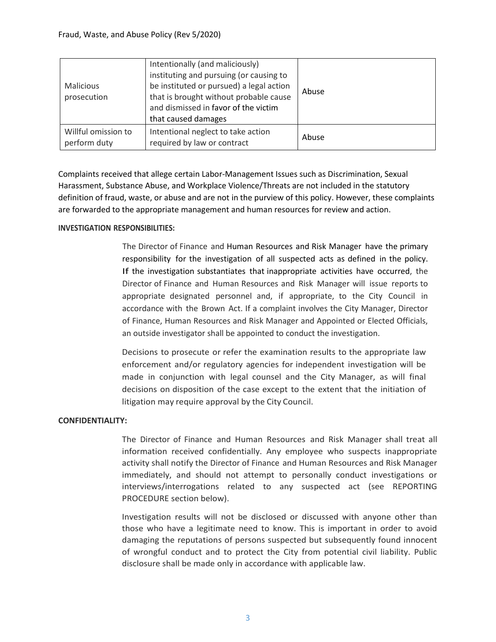| Malicious<br>prosecution            | Intentionally (and maliciously)<br>instituting and pursuing (or causing to<br>be instituted or pursued) a legal action<br>that is brought without probable cause<br>and dismissed in favor of the victim<br>that caused damages | Abuse |
|-------------------------------------|---------------------------------------------------------------------------------------------------------------------------------------------------------------------------------------------------------------------------------|-------|
| Willful omission to<br>perform duty | Intentional neglect to take action<br>required by law or contract                                                                                                                                                               | Abuse |

Complaints received that allege certain Labor-Management Issues such as Discrimination, Sexual Harassment, Substance Abuse, and Workplace Violence/Threats are not included in the statutory definition of fraud, waste, or abuse and are not in the purview of this policy. However, these complaints are forwarded to the appropriate management and human resources for review and action.

## **INVESTIGATION RESPONSIBILITIES:**

The Director of Finance and Human Resources and Risk Manager have the primary responsibility for the investigation of all suspected acts as defined in the policy. If the investigation substantiates that inappropriate activities have occurred, the Director of Finance and Human Resources and Risk Manager will issue reports to appropriate designated personnel and, if appropriate, to the City Council in accordance with the Brown Act. If a complaint involves the City Manager, Director of Finance, Human Resources and Risk Manager and Appointed or Elected Officials, an outside investigator shall be appointed to conduct the investigation.

Decisions to prosecute or refer the examination results to the appropriate law enforcement and/or regulatory agencies for independent investigation will be made in conjunction with legal counsel and the City Manager, as will final decisions on disposition of the case except to the extent that the initiation of litigation may require approval by the City Council.

## **CONFIDENTIALITY:**

The Director of Finance and Human Resources and Risk Manager shall treat all information received confidentially. Any employee who suspects inappropriate activity shall notify the Director of Finance and Human Resources and Risk Manager immediately, and should not attempt to personally conduct investigations or interviews/interrogations related to any suspected act (see REPORTING PROCEDURE section below).

Investigation results will not be disclosed or discussed with anyone other than those who have a legitimate need to know. This is important in order to avoid damaging the reputations of persons suspected but subsequently found innocent of wrongful conduct and to protect the City from potential civil liability. Public disclosure shall be made only in accordance with applicable law.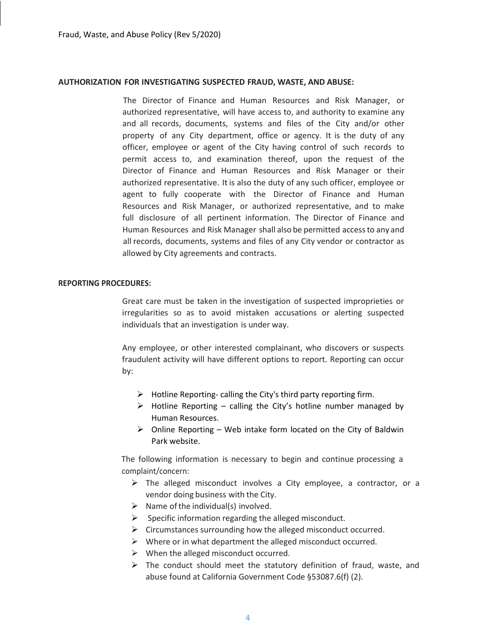#### **AUTHORIZATION FOR INVESTIGATING SUSPECTED FRAUD, WASTE, AND ABUSE:**

The Director of Finance and Human Resources and Risk Manager, or authorized representative, will have access to, and authority to examine any and all records, documents, systems and files of the City and/or other property of any City department, office or agency. It is the duty of any officer, employee or agent of the City having control of such records to permit access to, and examination thereof, upon the request of the Director of Finance and Human Resources and Risk Manager or their authorized representative. It is also the duty of any such officer, employee or agent to fully cooperate with the Director of Finance and Human Resources and Risk Manager, or authorized representative, and to make full disclosure of all pertinent information. The Director of Finance and Human Resources and Risk Manager shall also be permitted accessto any and all records, documents, systems and files of any City vendor or contractor as allowed by City agreements and contracts.

#### **REPORTING PROCEDURES:**

Great care must be taken in the investigation of suspected improprieties or irregularities so as to avoid mistaken accusations or alerting suspected individuals that an investigation is under way.

Any employee, or other interested complainant, who discovers or suspects fraudulent activity will have different options to report. Reporting can occur by:

- $\triangleright$  Hotline Reporting- calling the City's third party reporting firm.
- $\triangleright$  Hotline Reporting calling the City's hotline number managed by Human Resources.
- $\triangleright$  Online Reporting Web intake form located on the City of Baldwin Park website.

The following information is necessary to begin and continue processing a complaint/concern:

- $\triangleright$  The alleged misconduct involves a City employee, a contractor, or a vendor doing business with the City.
- $\triangleright$  Name of the individual(s) involved.
- $\triangleright$  Specific information regarding the alleged misconduct.
- $\triangleright$  Circumstances surrounding how the alleged misconduct occurred.
- $\triangleright$  Where or in what department the alleged misconduct occurred.
- $\triangleright$  When the alleged misconduct occurred.
- $\triangleright$  The conduct should meet the statutory definition of fraud, waste, and abuse found at California Government Code §53087.6(f) (2).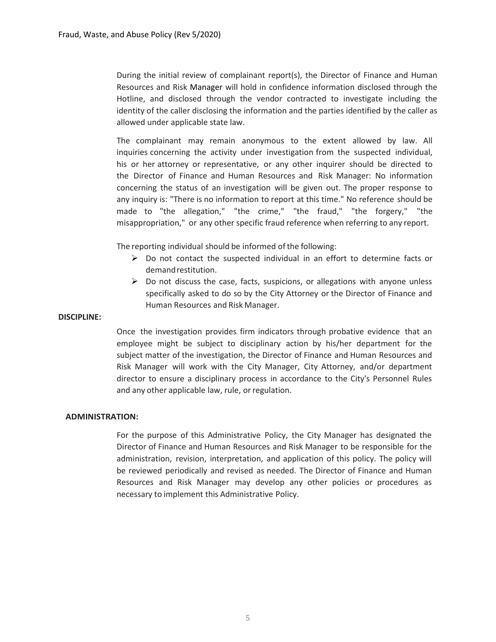During the initial review of complainant report(s), the Director of Finance and Human Resources and Risk Manager will hold in confidence information disclosed through the Hotline, and disclosed through the vendor contracted to investigate including the identity of the caller disclosing the information and the parties identified by the caller as allowed under applicable state law.

The complainant may remain anonymous to the extent allowed by law. All inquiries concerning the activity under investigation from the suspected individual, his or her attorney or representative, or any other inquirer should be directed to the Director of Finance and Human Resources and Risk Manager: No information concerning the status of an investigation will be given out. The proper response to any inquiry is: "There is no information to report at this time." No reference should be made to "the allegation," "the crime," "the fraud," "the forgery," "the misappropriation," or any other specific fraud reference when referring to any report.

The reporting individual should be informed of the following:

- $\triangleright$  Do not contact the suspected individual in an effort to determine facts or demandrestitution.
- $\triangleright$  Do not discuss the case, facts, suspicions, or allegations with anyone unless specifically asked to do so by the City Attorney or the Director of Finance and Human Resources and Risk Manager.

#### **DISCIPLINE:**

Once the investigation provides firm indicators through probative evidence that an employee might be subject to disciplinary action by his/her department for the subject matter of the investigation, the Director of Finance and Human Resources and Risk Manager will work with the City Manager, City Attorney, and/or department director to ensure a disciplinary process in accordance to the City's Personnel Rules and any other applicable law, rule, or regulation.

#### **ADMINISTRATION:**

For the purpose of this Administrative Policy, the City Manager has designated the Director of Finance and Human Resources and Risk Manager to be responsible for the administration, revision, interpretation, and application of this policy. The policy will be reviewed periodically and revised as needed. The Director of Finance and Human Resources and Risk Manager may develop any other policies or procedures as necessary to implement this Administrative Policy.